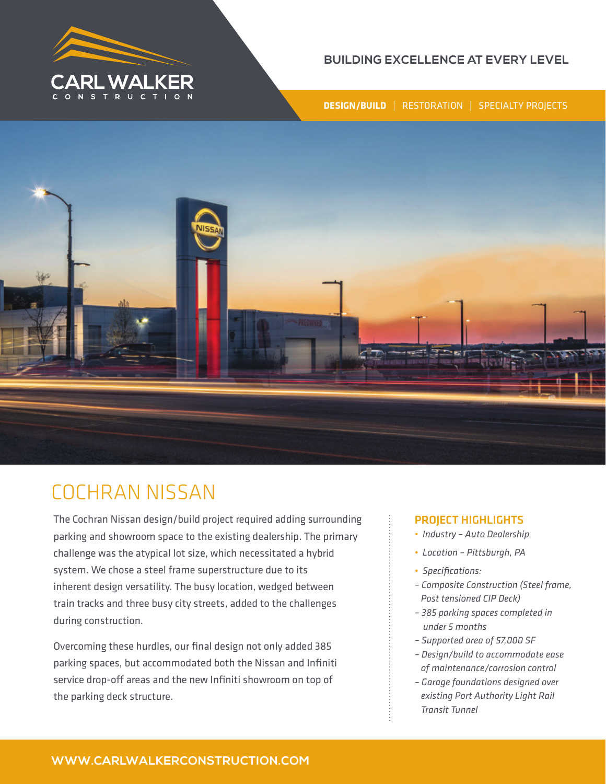

### **BUILDING EXCELLENCE AT EVERY LEVEL**

**DESIGN/BUILD** | RESTORATION | SPECIALTY PROJECTS



# COCHRAN NISSAN

The Cochran Nissan design/build project required adding surrounding parking and showroom space to the existing dealership. The primary challenge was the atypical lot size, which necessitated a hybrid system. We chose a steel frame superstructure due to its inherent design versatility. The busy location, wedged between train tracks and three busy city streets, added to the challenges during construction.

Overcoming these hurdles, our final design not only added 385 parking spaces, but accommodated both the Nissan and Infiniti service drop-off areas and the new Infiniti showroom on top of the parking deck structure.

### PROJECT HIGHLIGHTS

- *Industry Auto Dealership*
- *Location Pittsburgh, PA*
- *Specifications:*
- *Composite Construction (Steel frame, Post tensioned CIP Deck)*
- *385 parking spaces completed in under 5 months*
- *Supported area of 57,000 SF*
- *Design/build to accommodate ease of maintenance/corrosion control*
- *Garage foundations designed over existing Port Authority Light Rail Transit Tunnel*